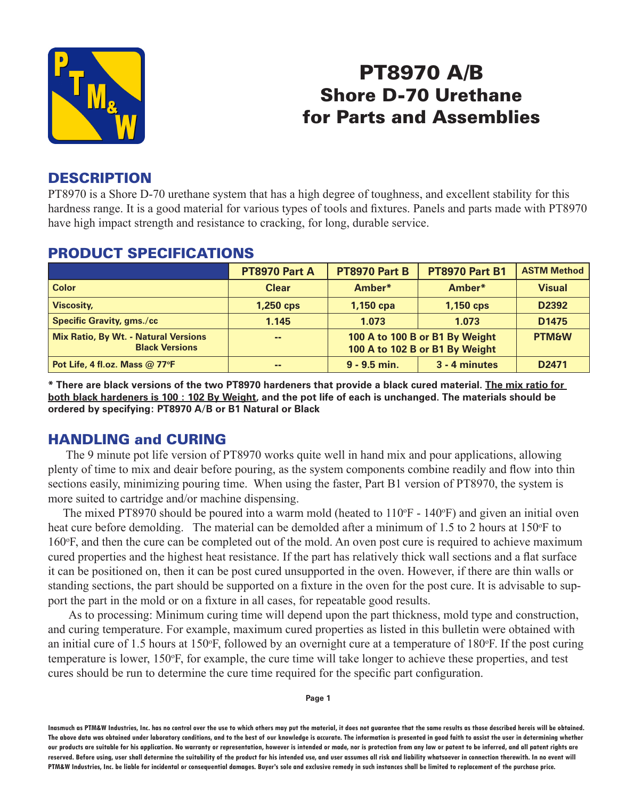

# PT8970 A/B Shore D-70 Urethane for Parts and Assemblies

#### **DESCRIPTION**

PT8970 is a Shore D-70 urethane system that has a high degree of toughness, and excellent stability for this hardness range. It is a good material for various types of tools and fixtures. Panels and parts made with PT8970 have high impact strength and resistance to cracking, for long, durable service.

|                                                                      | PT8970 Part A | PT8970 Part B                                                    | <b>PT8970 Part B1</b> | <b>ASTM Method</b> |
|----------------------------------------------------------------------|---------------|------------------------------------------------------------------|-----------------------|--------------------|
| <b>Color</b>                                                         | <b>Clear</b>  | Amber*                                                           | Amber*                | <b>Visual</b>      |
| <b>Viscosity,</b>                                                    | 1,250 cps     | 1,150 cpa                                                        | 1,150 cps             | D2392              |
| <b>Specific Gravity, gms./cc</b>                                     | 1.145         | 1.073                                                            | 1.073                 | D <sub>1475</sub>  |
| <b>Mix Ratio, By Wt. - Natural Versions</b><br><b>Black Versions</b> | $\sim$ $-$    | 100 A to 100 B or B1 By Weight<br>100 A to 102 B or B1 By Weight |                       | <b>PTM&amp;W</b>   |
| Pot Life, 4 fl.oz. Mass @ 77°F                                       | --            | $9 - 9.5$ min.                                                   | 3 - 4 minutes         | D <sub>2471</sub>  |

#### PRODUCT SPECIFICATIONS

**\* There are black versions of the two PT8970 hardeners that provide a black cured material. The mix ratio for both black hardeners is 100 : 102 By Weight, and the pot life of each is unchanged. The materials should be ordered by specifying: PT8970 A/B or B1 Natural or Black**

#### HANDLING and CURING

 The 9 minute pot life version of PT8970 works quite well in hand mix and pour applications, allowing plenty of time to mix and deair before pouring, as the system components combine readily and flow into thin sections easily, minimizing pouring time. When using the faster, Part B1 version of PT8970, the system is more suited to cartridge and/or machine dispensing.

The mixed PT8970 should be poured into a warm mold (heated to  $110\text{°F}$  -  $140\text{°F}$ ) and given an initial oven heat cure before demolding. The material can be demolded after a minimum of 1.5 to 2 hours at 150°F to 160°F, and then the cure can be completed out of the mold. An oven post cure is required to achieve maximum cured properties and the highest heat resistance. If the part has relatively thick wall sections and a flat surface it can be positioned on, then it can be post cured unsupported in the oven. However, if there are thin walls or standing sections, the part should be supported on a fixture in the oven for the post cure. It is advisable to support the part in the mold or on a fixture in all cases, for repeatable good results.

 As to processing: Minimum curing time will depend upon the part thickness, mold type and construction, and curing temperature. For example, maximum cured properties as listed in this bulletin were obtained with an initial cure of 1.5 hours at 150°F, followed by an overnight cure at a temperature of 180°F. If the post curing temperature is lower, 150°F, for example, the cure time will take longer to achieve these properties, and test cures should be run to determine the cure time required for the specific part configuration.

**Page 1**

**Inasmuch as PTM&W Industries, Inc. has no control over the use to which others may put the material, it does not guarantee that the same results as those described hereis will be obtained. The above data was obtained under laboratory conditions, and to the best of our knowledge is accurate. The information is presented in good faith to assist the user in determining whether our products are suitable for his application. No warranty or representation, however is intended or made, nor is protection from any law or patent to be inferred, and all patent rights are**  reserved. Before using, user shall determine the suitability of the product for his intended use, and user assumes all risk and liability whatsoever in connection therewith. In no event will **PTM&W Industries, Inc. be liable for incidental or consequential damages. Buyer's sole and exclusive remedy in such instances shall be limited to replacement of the purchase price.**